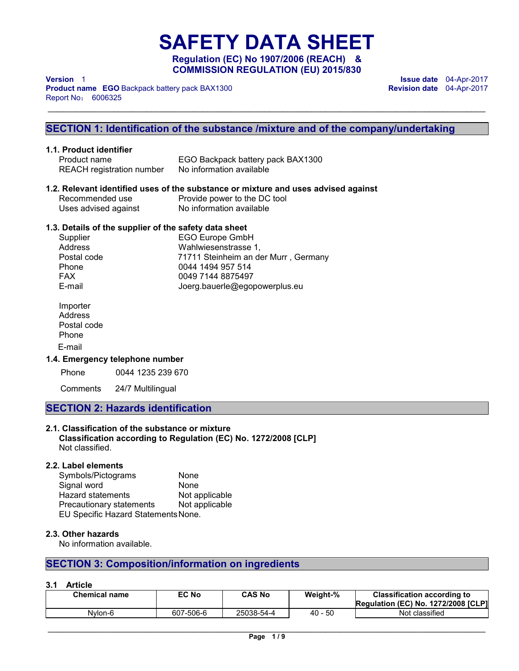**SAFETY DATA SHEET Regulation (EC) No 1907/2006 (REACH) & COMMISSION REGULATION (EU) 2015/830** 

\_\_\_\_\_\_\_\_\_\_\_\_\_\_\_\_\_\_\_\_\_\_\_\_\_\_\_\_\_\_\_\_\_\_\_\_\_\_\_\_\_\_\_\_\_\_\_\_\_\_\_\_\_\_\_\_\_\_\_\_\_\_\_\_\_\_\_\_\_\_\_\_\_\_\_\_\_\_\_\_\_\_\_\_\_\_\_\_\_\_\_\_\_

**Product name EGO** Backpack battery pack BAX1300 Report No: 6006325

**Version** 1 **Issue date** 04-Apr-2017 **Revision date** 04-Apr-2017

# **SECTION 1: Identification of the substance /mixture and of the company/undertaking**

# **1.1. Product identifier**

Product name EGO Backpack battery pack BAX1300<br>REACH registration number No information available REACH registration number

# **1.2. Relevant identified uses of the substance or mixture and uses advised against**

| Recommended use      | Provide power to the DC tool |
|----------------------|------------------------------|
| Uses advised against | No information available     |

# **1.3. Details of the supplier of the safety data sheet**

| Supplier    | <b>EGO Europe GmbH</b>               |
|-------------|--------------------------------------|
| Address     | Wahlwiesenstrasse 1,                 |
| Postal code | 71711 Steinheim an der Murr, Germany |
| Phone       | 0044 1494 957 514                    |
| <b>FAX</b>  | 0049 7144 8875497                    |
| E-mail      | Joerg.bauerle@egopowerplus.eu        |

Importer Address Postal code Phone E-mail

# **1.4. Emergency telephone number**

Phone 0044 1235 239 670

Comments 24/7 Multilingual

# **SECTION 2: Hazards identification**

# **2.1. Classification of the substance or mixture**

**Classification according to Regulation (EC) No. 1272/2008 [CLP]**  Not classified.

# **2.2. Label elements**

| Symbols/Pictograms                  | None           |  |  |
|-------------------------------------|----------------|--|--|
| Signal word                         | None           |  |  |
| <b>Hazard statements</b>            | Not applicable |  |  |
| Precautionary statements            | Not applicable |  |  |
| EU Specific Hazard Statements None. |                |  |  |

#### **2.3. Other hazards**

No information available.

# **SECTION 3: Composition/information on ingredients**

#### **3.1 Article**

| <b>Chemical name</b> | EC No     | <b>CAS No</b> | Weight-% | <b>Classification according to</b><br>Regulation (EC) No. 1272/2008 [CLP] |
|----------------------|-----------|---------------|----------|---------------------------------------------------------------------------|
| Nvlon-6              | 607-506-6 | 25038-54-4    | 40 - 50  | Not classified                                                            |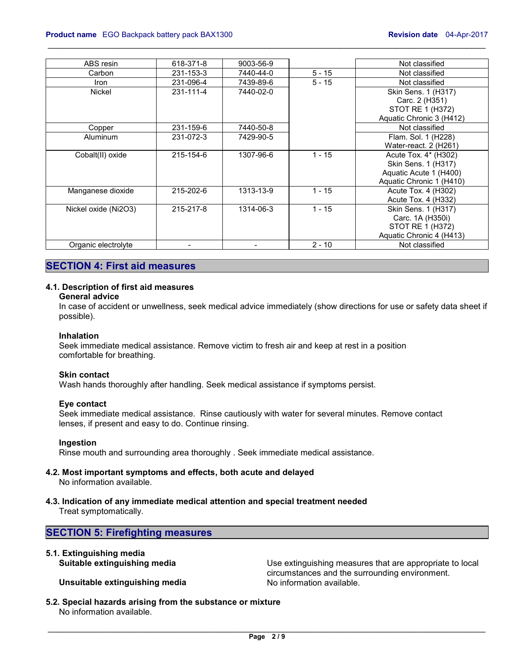| ABS resin            | 618-371-8 | 9003-56-9 |          | Not classified                                                                                    |
|----------------------|-----------|-----------|----------|---------------------------------------------------------------------------------------------------|
| Carbon               | 231-153-3 | 7440-44-0 | $5 - 15$ | Not classified                                                                                    |
| <b>Iron</b>          | 231-096-4 | 7439-89-6 | $5 - 15$ | Not classified                                                                                    |
| Nickel               | 231-111-4 | 7440-02-0 |          | Skin Sens. 1 (H317)<br>Carc. 2 (H351)<br>STOT RE 1 (H372)<br>Aquatic Chronic 3 (H412)             |
| Copper               | 231-159-6 | 7440-50-8 |          | Not classified                                                                                    |
| Aluminum             | 231-072-3 | 7429-90-5 |          | Flam. Sol. 1 (H228)<br>Water-react. 2 (H261)                                                      |
| Cobalt(II) oxide     | 215-154-6 | 1307-96-6 | $1 - 15$ | Acute Tox. 4* (H302)<br>Skin Sens. 1 (H317)<br>Aquatic Acute 1 (H400)<br>Aquatic Chronic 1 (H410) |
| Manganese dioxide    | 215-202-6 | 1313-13-9 | $1 - 15$ | Acute Tox. 4 (H302)<br>Acute Tox. 4 (H332)                                                        |
| Nickel oxide (Ni2O3) | 215-217-8 | 1314-06-3 | $1 - 15$ | Skin Sens. 1 (H317)<br>Carc. 1A (H350i)<br>STOT RE 1 (H372)<br>Aquatic Chronic 4 (H413)           |
| Organic electrolyte  |           |           | $2 - 10$ | Not classified                                                                                    |

\_\_\_\_\_\_\_\_\_\_\_\_\_\_\_\_\_\_\_\_\_\_\_\_\_\_\_\_\_\_\_\_\_\_\_\_\_\_\_\_\_\_\_\_\_\_\_\_\_\_\_\_\_\_\_\_\_\_\_\_\_\_\_\_\_\_\_\_\_\_\_\_\_\_\_\_\_\_\_\_\_\_\_\_\_\_\_\_\_\_\_\_\_

# **SECTION 4: First aid measures**

# **4.1. Description of first aid measures**

#### **General advice**

In case of accident or unwellness, seek medical advice immediately (show directions for use or safety data sheet if possible).

#### **Inhalation**

Seek immediate medical assistance. Remove victim to fresh air and keep at rest in a position comfortable for breathing.

#### **Skin contact**

Wash hands thoroughly after handling. Seek medical assistance if symptoms persist.

#### **Eye contact**

Seek immediate medical assistance. Rinse cautiously with water for several minutes. Remove contact lenses, if present and easy to do. Continue rinsing.

## **Ingestion**

Rinse mouth and surrounding area thoroughly . Seek immediate medical assistance.

# **4.2. Most important symptoms and effects, both acute and delayed**

No information available.

**4.3. Indication of any immediate medical attention and special treatment needed** 

Treat symptomatically.

# **SECTION 5: Firefighting measures**

# **5.1. Extinguishing media**

**Unsuitable extinguishing media** 

Use extinguishing measures that are appropriate to local circumstances and the surrounding environment.

**5.2. Special hazards arising from the substance or mixture** 

No information available.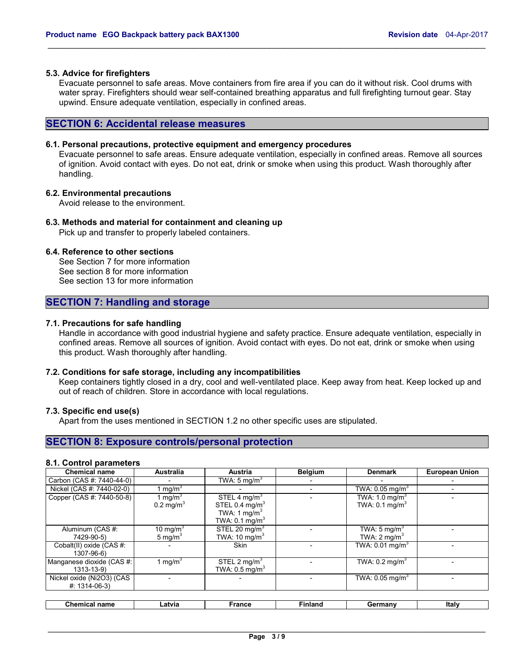#### **5.3. Advice for firefighters**

Evacuate personnel to safe areas. Move containers from fire area if you can do it without risk. Cool drums with water spray. Firefighters should wear self-contained breathing apparatus and full firefighting turnout gear. Stay upwind. Ensure adequate ventilation, especially in confined areas.

\_\_\_\_\_\_\_\_\_\_\_\_\_\_\_\_\_\_\_\_\_\_\_\_\_\_\_\_\_\_\_\_\_\_\_\_\_\_\_\_\_\_\_\_\_\_\_\_\_\_\_\_\_\_\_\_\_\_\_\_\_\_\_\_\_\_\_\_\_\_\_\_\_\_\_\_\_\_\_\_\_\_\_\_\_\_\_\_\_\_\_\_\_

# **SECTION 6: Accidental release measures**

## **6.1. Personal precautions, protective equipment and emergency procedures**

Evacuate personnel to safe areas. Ensure adequate ventilation, especially in confined areas. Remove all sources of ignition. Avoid contact with eyes. Do not eat, drink or smoke when using this product. Wash thoroughly after handling.

#### **6.2. Environmental precautions**

Avoid release to the environment.

# **6.3. Methods and material for containment and cleaning up**

Pick up and transfer to properly labeled containers.

#### **6.4. Reference to other sections**

See Section 7 for more information See section 8 for more information See section 13 for more information

# **SECTION 7: Handling and storage**

# **7.1. Precautions for safe handling**

Handle in accordance with good industrial hygiene and safety practice. Ensure adequate ventilation, especially in confined areas. Remove all sources of ignition. Avoid contact with eyes. Do not eat, drink or smoke when using this product. Wash thoroughly after handling.

#### **7.2. Conditions for safe storage, including any incompatibilities**

Keep containers tightly closed in a dry, cool and well-ventilated place. Keep away from heat. Keep locked up and out of reach of children. Store in accordance with local regulations.

#### **7.3. Specific end use(s)**

Apart from the uses mentioned in SECTION 1.2 no other specific uses are stipulated.

# **SECTION 8: Exposure controls/personal protection**

#### **8.1. Control parameters**

| <b>Chemical name</b>                         | <b>Australia</b>                   | <b>Austria</b>                                                                              | <b>Belgium</b> | <b>Denmark</b>                                         | <b>European Union</b> |
|----------------------------------------------|------------------------------------|---------------------------------------------------------------------------------------------|----------------|--------------------------------------------------------|-----------------------|
| Carbon (CAS #: 7440-44-0)                    |                                    | TWA: 5 mg/m <sup>3</sup>                                                                    |                |                                                        |                       |
| Nickel (CAS #: 7440-02-0)                    | 1 mg/m $3$                         |                                                                                             |                | TWA: $0.05$ mg/m <sup>3</sup>                          |                       |
| Copper (CAS #: 7440-50-8)                    | 1 mg/m $3$<br>$0.2 \text{ mg/m}^3$ | STEL 4 mg/m <sup>3</sup><br>STEL 0.4 $mg/m3$<br>TWA: 1 $mg/m3$<br>TWA: $0.1 \text{ mg/m}^3$ |                | TWA: $1.0 \text{ mg/m}^3$<br>TWA: $0.1 \text{ mg/m}^3$ |                       |
| Aluminum (CAS #:<br>7429-90-5)               | 10 mg/m <sup>3</sup><br>5 mg/m $3$ | STEL 20 mg/m <sup>3</sup><br>TWA: 10 $mg/m3$                                                |                | TWA: 5 mg/m <sup>3</sup><br>TWA: $2 \text{ mg/m}^3$    |                       |
| Cobalt(II) oxide (CAS #:<br>1307-96-6)       |                                    | <b>Skin</b>                                                                                 |                | TWA: $0.01$ mg/m <sup>3</sup>                          |                       |
| Manganese dioxide (CAS #:<br>$1313 - 13 - 9$ | 1 mg/m <sup>3</sup>                | STEL 2 mg/m <sup>3</sup><br>TWA: $0.5 \text{ mg/m}^3$                                       |                | TWA: $0.2 \text{ mg/m}^3$                              |                       |
| Nickel oxide (Ni2O3) (CAS<br>$#: 1314-06-3$  |                                    |                                                                                             |                | TWA: $0.05$ mg/m <sup>3</sup>                          |                       |
| <b>Chemical name</b>                         | Latvia                             | <b>France</b>                                                                               | <b>Finland</b> | Germany                                                | Italy                 |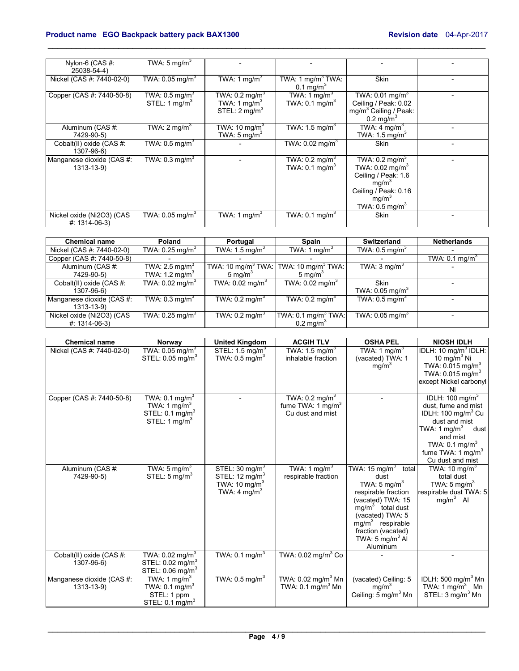| Nylon-6 (CAS #:<br>25038-54-4)                 | TWA: 5 mg/m <sup>3</sup>                                  |                                                                                   |                                                        |                                                                                                                                                                                     |  |
|------------------------------------------------|-----------------------------------------------------------|-----------------------------------------------------------------------------------|--------------------------------------------------------|-------------------------------------------------------------------------------------------------------------------------------------------------------------------------------------|--|
| Nickel (CAS #: 7440-02-0)                      | TWA: $0.05$ mg/m <sup>3</sup>                             | TWA: 1 mg/m <sup>3</sup>                                                          | TWA: 1 mg/m <sup>3</sup> TWA:<br>$0.1 \text{ mg/m}^3$  | <b>Skin</b>                                                                                                                                                                         |  |
| Copper (CAS #: 7440-50-8)                      | TWA: $0.5 \,\mathrm{mg/m^3}$<br>STEL: 1 mg/m <sup>3</sup> | TWA: $0.2 \text{ mg/m}^3$<br>TWA: 1 mg/m <sup>3</sup><br>STEL: $2 \text{ mq/m}^3$ | TWA: 1 mg/m <sup>3</sup><br>TWA: $0.1 \text{ mg/m}^3$  | TWA: $0.01$ mg/m <sup>3</sup><br>Ceiling / Peak: 0.02<br>mg/m <sup>3</sup> Ceiling / Peak:<br>$0.2$ mg/m <sup>3</sup>                                                               |  |
| Aluminum (CAS #:<br>7429-90-5)                 | TWA: $2 \text{ mq/m}^3$                                   | TWA: 10 mg/m <sup>3</sup><br>TWA: $5 \text{ mg/m}^3$                              | TWA: $1.5 \,\mathrm{mq/m}^3$                           | TWA: 4 mg/m <sup>3</sup><br>TWA: $1.5 \text{ mg/m}^3$                                                                                                                               |  |
| Cobalt(II) oxide (CAS #:<br>1307-96-6)         | TWA: $0.5$ mg/m <sup>3</sup>                              |                                                                                   | TWA: $0.02$ mg/m <sup>3</sup>                          | <b>Skin</b>                                                                                                                                                                         |  |
| Manganese dioxide (CAS #:<br>1313-13-9)        | TWA: $0.3 \text{ mg/m}^3$                                 |                                                                                   | TWA: $0.2 \text{ mg/m}^3$<br>TWA: $0.1 \text{ mg/m}^3$ | TWA: $0.2 \text{ mg/m}^3$<br>TWA: $0.02$ mg/m <sup>3</sup><br>Ceiling / Peak: 1.6<br>mg/m <sup>3</sup><br>Ceiling / Peak: 0.16<br>mg/m <sup>3</sup><br>TWA: $0.5$ mg/m <sup>3</sup> |  |
| Nickel oxide (Ni2O3) (CAS<br>$\#$ : 1314-06-3) | TWA: $0.05$ mg/m <sup>3</sup>                             | TWA: 1 mg/m <sup>3</sup>                                                          | TWA: $0.1$ mg/m <sup>3</sup>                           | Skin                                                                                                                                                                                |  |

\_\_\_\_\_\_\_\_\_\_\_\_\_\_\_\_\_\_\_\_\_\_\_\_\_\_\_\_\_\_\_\_\_\_\_\_\_\_\_\_\_\_\_\_\_\_\_\_\_\_\_\_\_\_\_\_\_\_\_\_\_\_\_\_\_\_\_\_\_\_\_\_\_\_\_\_\_\_\_\_\_\_\_\_\_\_\_\_\_\_\_\_\_

| <b>Chemical name</b>      | Poland                    | Portugal                       | <b>Spain</b>                   | Switzerland                   | <b>Netherlands</b>        |
|---------------------------|---------------------------|--------------------------------|--------------------------------|-------------------------------|---------------------------|
| Nickel (CAS #: 7440-02-0) | TWA: 0.25 mg/m $^3\,$     | TWA: $1.5 \text{ mg/m}^3$      | TWA: 1 mg/m <sup>3</sup>       | TWA: $0.5 \text{ mg/m}^3$     |                           |
| Copper (CAS #: 7440-50-8) |                           |                                |                                |                               | TWA: $0.1 \text{ mg/m}^3$ |
| Aluminum (CAS #:          | TWA: $2.5 \text{ mg/m}^3$ | TWA: 10 mg/m <sup>3</sup> TWA: | TWA: 10 $mq/m3$ TWA:           | TWA: $3 \text{ mq/m}^3$       |                           |
| 7429-90-5)                | TWA: $1.2 \text{ mg/m}^3$ | 5 mg/m $3$                     | 5 mg/ $m3$                     |                               |                           |
| Cobalt(II) oxide (CAS #:  | TWA: 0.02 mg/m $^3\,$     | TWA: $0.02$ mg/m <sup>3</sup>  | TWA: $0.02$ mg/m <sup>3</sup>  | Skin                          |                           |
| 1307-96-6)                |                           |                                |                                | TWA: $0.05$ mg/m <sup>3</sup> |                           |
| Manganese dioxide (CAS #: | TWA: $0.3 \text{ mg/m}^3$ | TWA: $0.2 \text{ mg/m}^3$      | TWA: $0.2 \text{ mg/m}^3$      | TWA: $0.5 \text{ mg/m}^3$     |                           |
| 1313-13-9)                |                           |                                |                                |                               |                           |
| Nickel oxide (Ni2O3) (CAS | TWA: 0.25 mg/m $3$        | TWA: $0.2 \text{ mg/m}^3$      | TWA: $0.1 \text{ mg/m}^3$ TWA: | TWA: $0.05$ mg/m <sup>3</sup> |                           |
| $#: 1314-06-3$            |                           |                                | $0.2 \text{ mg/m}^3$           |                               |                           |

| <b>Chemical name</b>      | Norway                        | <b>United Kingdom</b>        | <b>ACGIH TLV</b>                 | <b>OSHA PEL</b>                 | <b>NIOSH IDLH</b>                |
|---------------------------|-------------------------------|------------------------------|----------------------------------|---------------------------------|----------------------------------|
| Nickel (CAS #: 7440-02-0) | TWA: $0.05$ mg/m <sup>3</sup> | STEL: $1.5 \text{ mg/m}^3$   | TWA: $1.5 \,\mathrm{mq/m}^3$     | TWA: 1 mg/m <sup>3</sup>        | IDLH: 10 mg/m <sup>3</sup> IDLH: |
|                           | STEL: 0.05 mg/m <sup>3</sup>  | TWA: $0.5$ mg/m <sup>3</sup> | inhalable fraction               | (vacated) TWA: 1                | 10 mg/m $3$ Ni                   |
|                           |                               |                              |                                  | mg/m <sup>3</sup>               | TWA: $0.015$ mg/m <sup>3</sup>   |
|                           |                               |                              |                                  |                                 | TWA: 0.015 mg/m <sup>3</sup>     |
|                           |                               |                              |                                  |                                 | except Nickel carbonyl           |
|                           |                               |                              |                                  |                                 | Ni                               |
| Copper (CAS #: 7440-50-8) | TWA: $0.1$ mg/m <sup>3</sup>  |                              | TWA: $0.2 \text{ mg/m}^3$        |                                 | IDLH: 100 mg/m <sup>3</sup>      |
|                           | TWA: 1 mg/m <sup>3</sup>      |                              | fume TWA: 1 mg/m <sup>3</sup>    |                                 | dust, fume and mist              |
|                           | STEL: $0.1 \text{ mg/m}^3$    |                              | Cu dust and mist                 |                                 | IDLH: $100 \text{ mg/m}^3$ Cu    |
|                           | STEL: 1 $mq/m3$               |                              |                                  |                                 | dust and mist                    |
|                           |                               |                              |                                  |                                 | TWA: 1 mg/m $3$<br>dust          |
|                           |                               |                              |                                  |                                 | and mist                         |
|                           |                               |                              |                                  |                                 | TWA: $0.1 \text{ mg/m}^3$        |
|                           |                               |                              |                                  |                                 | fume TWA: 1 mg/m <sup>3</sup>    |
|                           |                               |                              |                                  |                                 | Cu dust and mist                 |
| Aluminum (CAS #:          | TWA: 5 mg/m <sup>3</sup>      | STEL: $30 \text{ mg/m}^3$    | TWA: 1 mg/m <sup>3</sup>         | TWA: 15 mg/m <sup>3</sup> total | TWA: 10 mg/m <sup>3</sup>        |
| 7429-90-5)                | STEL: $5 \text{ mg/m}^3$      | STEL: $12 \text{ mg/m}^3$    | respirable fraction              | dust                            | total dust                       |
|                           |                               | TWA: $10 \text{ mg/m}^3$     |                                  | TWA: $5 \text{ mg/m}^3$         | TWA: $5 \text{ mg/m}^3$          |
|                           |                               | TWA: 4 mg/m <sup>3</sup>     |                                  | respirable fraction             | respirable dust TWA: 5           |
|                           |                               |                              |                                  | (vacated) TWA: 15               | $mg/m3$ Al                       |
|                           |                               |                              |                                  | mg/m <sup>3</sup> total dust    |                                  |
|                           |                               |                              |                                  | (vacated) TWA: 5                |                                  |
|                           |                               |                              |                                  | $mg/m3$ respirable              |                                  |
|                           |                               |                              |                                  | fraction (vacated)              |                                  |
|                           |                               |                              |                                  | TWA: $5 \text{ mg/m}^3$ Al      |                                  |
|                           |                               |                              |                                  | Aluminum                        |                                  |
| Cobalt(II) oxide (CAS #:  | TWA: 0.02 mg/m $3$            | TWA: $0.1 \text{ mg/m}^3$    | TWA: $0.02 \text{ mg/m}^3$ Co    |                                 |                                  |
| 1307-96-6)                | STEL: 0.02 mg/m <sup>3</sup>  |                              |                                  |                                 |                                  |
|                           | STEL: 0.06 mg/m <sup>3</sup>  |                              |                                  |                                 |                                  |
| Manganese dioxide (CAS #: | TWA: 1 mg/m <sup>3</sup>      | TWA: $0.5 \text{ mg/m}^3$    | TWA: $0.02$ mg/m <sup>3</sup> Mn | (vacated) Ceiling: 5            | IDLH: 500 mg/m $3$ Mn            |
| 1313-13-9)                | TWA: $0.1 \text{ mg/m}^3$     |                              | TWA: $0.1 \text{ mg/m}^3$ Mn     | mq/m <sup>3</sup>               | TWA: $1 \text{ mg/m}^3$ Mn       |
|                           | STEL: 1 ppm                   |                              |                                  | Ceiling: 5 mg/m <sup>3</sup> Mn | STEL: 3 mg/m <sup>3</sup> Mn     |
|                           | STEL: $0.1 \text{ mg/m}^3$    |                              |                                  |                                 |                                  |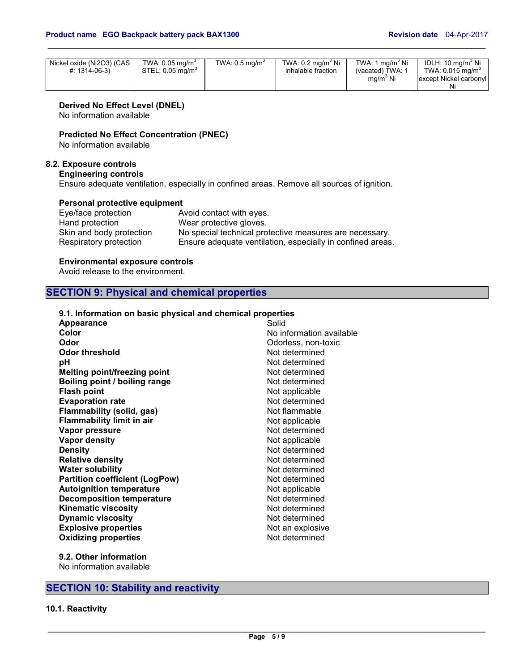| Nickel oxide (Ni2O3) (CAS<br>$\#$ : 1314-06-3) | TWA: $0.05$ mg/m <sup>3</sup><br>$STEL: 0.05$ ma/m <sup>3</sup> | TWA: $0.5$ mg/m <sup>3</sup> | TWA: $0.2 \text{ ma/m}^3$ Ni<br>inhalable fraction | TWA: 1 ma/m <sup>3</sup> Ni<br>(vacated) TWA: 1<br>$mq/m3$ Ni | IDLH: 10 ma/m <sup>3</sup> Ni<br>TWA: $0.015$ ma/m <sup>3</sup><br>except Nickel carbonyl<br>N |
|------------------------------------------------|-----------------------------------------------------------------|------------------------------|----------------------------------------------------|---------------------------------------------------------------|------------------------------------------------------------------------------------------------|
|------------------------------------------------|-----------------------------------------------------------------|------------------------------|----------------------------------------------------|---------------------------------------------------------------|------------------------------------------------------------------------------------------------|

\_\_\_\_\_\_\_\_\_\_\_\_\_\_\_\_\_\_\_\_\_\_\_\_\_\_\_\_\_\_\_\_\_\_\_\_\_\_\_\_\_\_\_\_\_\_\_\_\_\_\_\_\_\_\_\_\_\_\_\_\_\_\_\_\_\_\_\_\_\_\_\_\_\_\_\_\_\_\_\_\_\_\_\_\_\_\_\_\_\_\_\_\_

**Derived No Effect Level (DNEL)** 

No information available

**Predicted No Effect Concentration (PNEC)** 

No information available

# **8.2. Exposure controls**

**Engineering controls**

Ensure adequate ventilation, especially in confined areas. Remove all sources of ignition.

## **Personal protective equipment**

| Eye/face protection      | Avoid contact with eyes.                                   |
|--------------------------|------------------------------------------------------------|
| Hand protection          | Wear protective gloves.                                    |
| Skin and body protection | No special technical protective measures are necessary.    |
| Respiratory protection   | Ensure adequate ventilation, especially in confined areas. |

## **Environmental exposure controls**

Avoid release to the environment.

# **SECTION 9: Physical and chemical properties**

# **9.1. Information on basic physical and chemical properties**

| Appearance                            | Solid                    |
|---------------------------------------|--------------------------|
| Color                                 | No information available |
| Odor                                  | Odorless, non-toxic      |
| <b>Odor threshold</b>                 | Not determined           |
| рH                                    | Not determined           |
| <b>Melting point/freezing point</b>   | Not determined           |
| Boiling point / boiling range         | Not determined           |
| <b>Flash point</b>                    | Not applicable           |
| <b>Evaporation rate</b>               | Not determined           |
| <b>Flammability (solid, gas)</b>      | Not flammable            |
| <b>Flammability limit in air</b>      | Not applicable           |
| Vapor pressure                        | Not determined           |
| <b>Vapor density</b>                  | Not applicable           |
| <b>Density</b>                        | Not determined           |
| <b>Relative density</b>               | Not determined           |
| <b>Water solubility</b>               | Not determined           |
| <b>Partition coefficient (LogPow)</b> | Not determined           |
| <b>Autoignition temperature</b>       | Not applicable           |
| <b>Decomposition temperature</b>      | Not determined           |
| <b>Kinematic viscosity</b>            | Not determined           |
| <b>Dynamic viscosity</b>              | Not determined           |
| <b>Explosive properties</b>           | Not an explosive         |
| <b>Oxidizing properties</b>           | Not determined           |
|                                       |                          |

**9.2. Other information**  No information available

# **SECTION 10: Stability and reactivity**

# **10.1. Reactivity**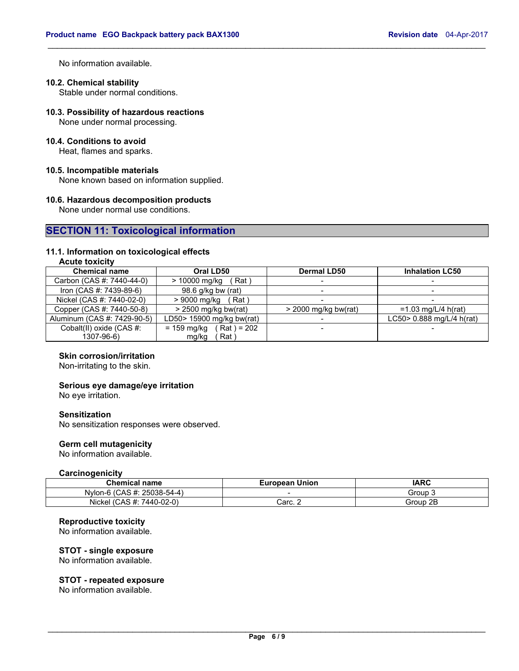No information available.

# **10.2. Chemical stability**

Stable under normal conditions.

**10.3. Possibility of hazardous reactions** 

None under normal processing.

# **10.4. Conditions to avoid**

Heat, flames and sparks.

#### **10.5. Incompatible materials**

None known based on information supplied.

#### **10.6. Hazardous decomposition products**

None under normal use conditions.

# **SECTION 11: Toxicological information**

# **11.1. Information on toxicological effects**

# **Acute toxicity**

| <b>Chemical name</b>        | Oral LD50                        | <b>Dermal LD50</b>       | <b>Inhalation LC50</b>    |  |
|-----------------------------|----------------------------------|--------------------------|---------------------------|--|
| Carbon (CAS #: 7440-44-0)   | Rat `<br>> 10000 mg/kg           | $\overline{\phantom{0}}$ |                           |  |
| Iron (CAS #: 7439-89-6)     | 98.6 g/kg bw (rat)               | $\overline{\phantom{a}}$ |                           |  |
| Nickel (CAS #: 7440-02-0)   | (Rat)<br>> 9000 mg/kg            |                          |                           |  |
| Copper (CAS #: 7440-50-8)   | $>$ 2500 mg/kg bw(rat)           | $>$ 2000 mg/kg bw(rat)   | $=1.03$ mg/L/4 h(rat)     |  |
| Aluminum (CAS #: 7429-90-5) | LD50> 15900 mg/kg bw(rat)        |                          | LC50> 0.888 mg/L/4 h(rat) |  |
| Cobalt(II) oxide (CAS #:    | = 159 mg/kg<br>$($ Rat $)$ = 202 | $\overline{\phantom{0}}$ |                           |  |
| 1307-96-6)                  | Rat)<br>mg/kg                    |                          |                           |  |

\_\_\_\_\_\_\_\_\_\_\_\_\_\_\_\_\_\_\_\_\_\_\_\_\_\_\_\_\_\_\_\_\_\_\_\_\_\_\_\_\_\_\_\_\_\_\_\_\_\_\_\_\_\_\_\_\_\_\_\_\_\_\_\_\_\_\_\_\_\_\_\_\_\_\_\_\_\_\_\_\_\_\_\_\_\_\_\_\_\_\_\_\_

# **Skin corrosion/irritation**

Non-irritating to the skin.

#### **Serious eye damage/eye irritation**

No eye irritation.

## **Sensitization**

No sensitization responses were observed.

# **Germ cell mutagenicity**

No information available.

#### **Carcinogenicity**

| <b>Chemical name</b>            | <b>European Union</b> | IARC        |
|---------------------------------|-----------------------|-------------|
| CAS #: 25038-54-4) ز<br>Nvlon-6 | -                     | croup ن     |
| (CAS #: 7440-02-0)<br>Nickel    | Carc. 2               | 2E<br>Group |

## **Reproductive toxicity**

No information available.

#### **STOT - single exposure**

No information available.

#### **STOT - repeated exposure**

No information available.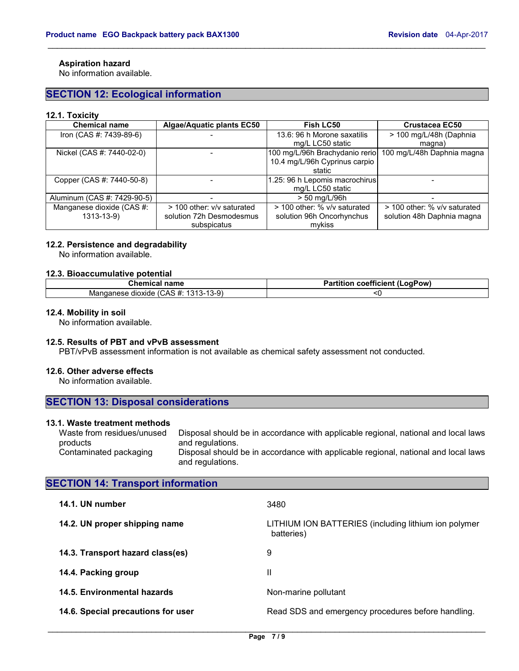# **Aspiration hazard**

No information available.

# **SECTION 12: Ecological information**

#### **12.1. Toxicity**

| <b>Chemical name</b>        | Algae/Aquatic plants EC50  | <b>Fish LC50</b>               | <b>Crustacea EC50</b>        |  |
|-----------------------------|----------------------------|--------------------------------|------------------------------|--|
| Iron (CAS #: 7439-89-6)     |                            | 13.6: 96 h Morone saxatilis    | > 100 mg/L/48h (Daphnia      |  |
|                             |                            | mg/L LC50 static               | magna)                       |  |
| Nickel (CAS #: 7440-02-0)   |                            | 100 mg/L/96h Brachydanio rerio | 100 mg/L/48h Daphnia magna   |  |
|                             |                            | 10.4 mg/L/96h Cyprinus carpio  |                              |  |
|                             |                            | static                         |                              |  |
| Copper (CAS #: 7440-50-8)   |                            | 1.25: 96 h Lepomis macrochirus |                              |  |
|                             |                            | mg/L LC50 static               |                              |  |
| Aluminum (CAS #: 7429-90-5) |                            | > 50 mg/L/96h                  |                              |  |
| Manganese dioxide (CAS #:   | > 100 other: v/v saturated | > 100 other: % v/v saturated   | > 100 other: % v/v saturated |  |
| $1313 - 13 - 9$             | solution 72h Desmodesmus   | solution 96h Oncorhynchus      | solution 48h Daphnia magna   |  |
|                             | subspicatus                | mykiss                         |                              |  |

\_\_\_\_\_\_\_\_\_\_\_\_\_\_\_\_\_\_\_\_\_\_\_\_\_\_\_\_\_\_\_\_\_\_\_\_\_\_\_\_\_\_\_\_\_\_\_\_\_\_\_\_\_\_\_\_\_\_\_\_\_\_\_\_\_\_\_\_\_\_\_\_\_\_\_\_\_\_\_\_\_\_\_\_\_\_\_\_\_\_\_\_\_

#### **12.2. Persistence and degradability**

No information available.

#### **12.3. Bioaccumulative potential**

| <b>Chemical name</b>                                                                             | ---<br>.<br>.oaPow)<br>coefficient<br>$ -$<br>auor<br>я |
|--------------------------------------------------------------------------------------------------|---------------------------------------------------------|
| $\sim$<br><b>COM</b><br>$\overline{ }$<br>vland<br>dioxide<br>anesc<br>1313-13-91<br>האטי<br>. . |                                                         |

#### **12.4. Mobility in soil**

No information available.

## **12.5. Results of PBT and vPvB assessment**

PBT/vPvB assessment information is not available as chemical safety assessment not conducted.

#### **12.6. Other adverse effects**

No information available.

| <b>SECTION 13: Disposal considerations</b> |  |
|--------------------------------------------|--|
|--------------------------------------------|--|

## **13.1. Waste treatment methods**

Waste from residues/unused products Disposal should be in accordance with applicable regional, national and local laws and regulations. Contaminated packaging Disposal should be in accordance with applicable regional, national and local laws and regulations.

# **SECTION 14: Transport information**

| 14.1. UN number                    | 3480                                                               |
|------------------------------------|--------------------------------------------------------------------|
| 14.2. UN proper shipping name      | LITHIUM ION BATTERIES (including lithium ion polymer<br>batteries) |
| 14.3. Transport hazard class(es)   | 9                                                                  |
| 14.4. Packing group                | Ш                                                                  |
| 14.5. Environmental hazards        | Non-marine pollutant                                               |
| 14.6. Special precautions for user | Read SDS and emergency procedures before handling.                 |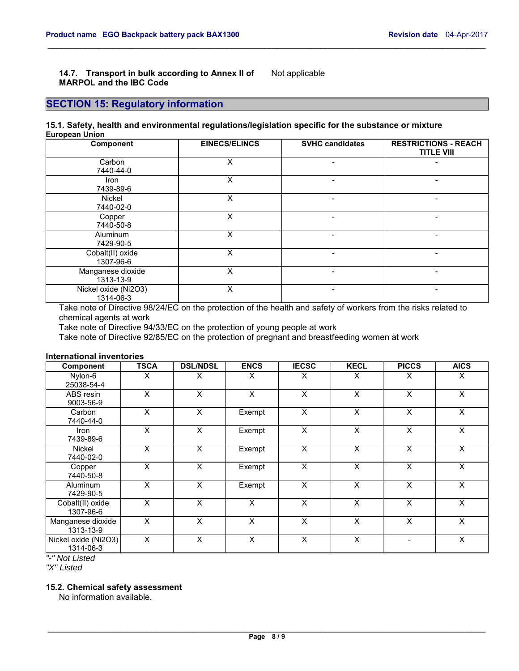#### **14.7. Transport in bulk according to Annex II of MARPOL and the IBC Code**  Not applicable

# **SECTION 15: Regulatory information**

#### **15.1. Safety, health and environmental regulations/legislation specific for the substance or mixture European Union**

| Component                         | <b>EINECS/ELINCS</b> | <b>SVHC candidates</b>   | <b>RESTRICTIONS - REACH</b><br><b>TITLE VIII</b> |
|-----------------------------------|----------------------|--------------------------|--------------------------------------------------|
| Carbon<br>7440-44-0               | X                    | $\overline{\phantom{0}}$ |                                                  |
| <b>Iron</b><br>7439-89-6          | X                    |                          |                                                  |
| Nickel<br>7440-02-0               | X                    |                          |                                                  |
| Copper<br>7440-50-8               | X                    | -                        |                                                  |
| <b>Aluminum</b><br>7429-90-5      | X                    | -                        |                                                  |
| Cobalt(II) oxide<br>1307-96-6     | X                    | $\overline{\phantom{0}}$ |                                                  |
| Manganese dioxide<br>1313-13-9    | x                    | $\overline{\phantom{0}}$ |                                                  |
| Nickel oxide (Ni2O3)<br>1314-06-3 | x                    |                          |                                                  |

\_\_\_\_\_\_\_\_\_\_\_\_\_\_\_\_\_\_\_\_\_\_\_\_\_\_\_\_\_\_\_\_\_\_\_\_\_\_\_\_\_\_\_\_\_\_\_\_\_\_\_\_\_\_\_\_\_\_\_\_\_\_\_\_\_\_\_\_\_\_\_\_\_\_\_\_\_\_\_\_\_\_\_\_\_\_\_\_\_\_\_\_\_

Take note of Directive 98/24/EC on the protection of the health and safety of workers from the risks related to chemical agents at work

Take note of Directive 94/33/EC on the protection of young people at work

Take note of Directive 92/85/EC on the protection of pregnant and breastfeeding women at work

## **International inventories**

| Component                         | <b>TSCA</b> | <b>DSL/NDSL</b> | <b>ENCS</b> | <b>IECSC</b> | <b>KECL</b> | <b>PICCS</b> | <b>AICS</b> |
|-----------------------------------|-------------|-----------------|-------------|--------------|-------------|--------------|-------------|
| Nylon-6<br>25038-54-4             | X           | X               | X           | X            | X           | X            | X           |
| ABS resin<br>9003-56-9            | X           | X               | X           | X            | X           | X            | X           |
| Carbon<br>7440-44-0               | X           | X               | Exempt      | X            | X           | X            | X           |
| Iron<br>7439-89-6                 | X           | X               | Exempt      | X            | X           | X            | $\times$    |
| <b>Nickel</b><br>7440-02-0        | X           | X               | Exempt      | X            | X           | X            | X           |
| Copper<br>7440-50-8               | X           | X               | Exempt      | X            | X           | X            | X           |
| <b>Aluminum</b><br>7429-90-5      | X           | X               | Exempt      | X            | X           | X            | X           |
| Cobalt(II) oxide<br>1307-96-6     | X           | X               | X           | X            | X           | X            | X           |
| Manganese dioxide<br>1313-13-9    | X           | X               | X           | X            | X           | X            | X           |
| Nickel oxide (Ni2O3)<br>1314-06-3 | X           | X               | X           | X            | X           |              | X           |

*"-" Not Listed* 

*"X" Listed* 

# **15.2. Chemical safety assessment**

No information available.